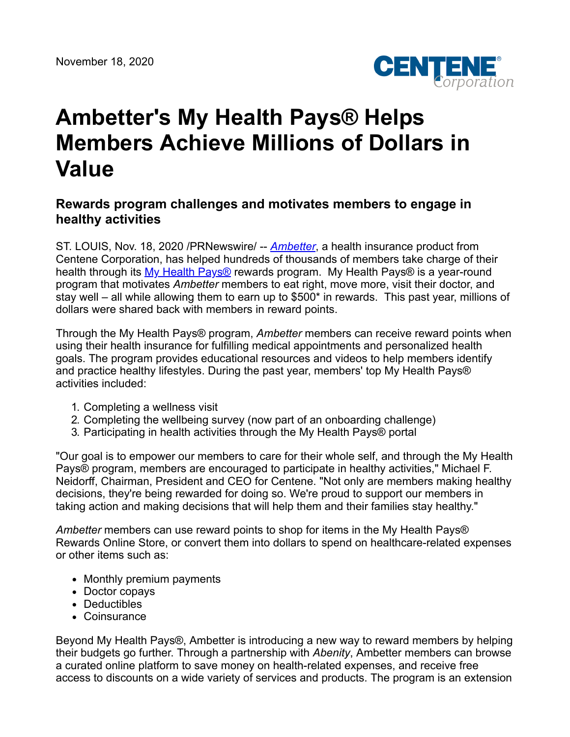

## **Ambetter's My Health Pays® Helps Members Achieve Millions of Dollars in Value**

## **Rewards program challenges and motivates members to engage in healthy activities**

ST. LOUIS, Nov. 18, 2020 /PRNewswire/ -- *[Ambetter](https://www.ambetterhealth.com/)*, a health insurance product from Centene Corporation, has helped hundreds of thousands of members take charge of their health through its My Health Pays<sup>®</sup> rewards program. My Health Pays<sup>®</sup> is a year-round program that motivates *Ambetter* members to eat right, move more, visit their doctor, and stay well – all while allowing them to earn up to \$500\* in rewards. This past year, millions of dollars were shared back with members in reward points.

Through the My Health Pays® program, *Ambetter* members can receive reward points when using their health insurance for fulfilling medical appointments and personalized health goals. The program provides educational resources and videos to help members identify and practice healthy lifestyles. During the past year, members' top My Health Pays® activities included:

- 1. Completing a wellness visit
- 2. Completing the wellbeing survey (now part of an onboarding challenge)
- 3. Participating in health activities through the My Health Pays® portal

"Our goal is to empower our members to care for their whole self, and through the My Health Pays® program, members are encouraged to participate in healthy activities," Michael F. Neidorff, Chairman, President and CEO for Centene. "Not only are members making healthy decisions, they're being rewarded for doing so. We're proud to support our members in taking action and making decisions that will help them and their families stay healthy."

*Ambetter* members can use reward points to shop for items in the My Health Pays® Rewards Online Store, or convert them into dollars to spend on healthcare-related expenses or other items such as:

- Monthly premium payments
- Doctor copays
- Deductibles
- Coinsurance

Beyond My Health Pays®, Ambetter is introducing a new way to reward members by helping their budgets go further. Through a partnership with *Abenity*, Ambetter members can browse a curated online platform to save money on health-related expenses, and receive free access to discounts on a wide variety of services and products. The program is an extension